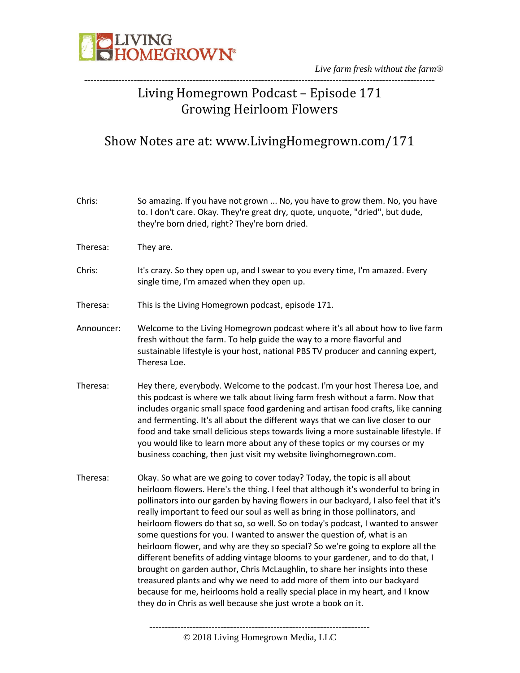

*Live farm fresh without the farm®* -----------------------------------------------------------------------------------------------------------------

#### Living Homegrown Podcast – Episode 171 Growing Heirloom Flowers

#### Show Notes are at: www.LivingHomegrown.com/171

| Chris:     | So amazing. If you have not grown  No, you have to grow them. No, you have<br>to. I don't care. Okay. They're great dry, quote, unquote, "dried", but dude,<br>they're born dried, right? They're born dried.                                                                                                                                                                                                                                                                                                                                                                                                                                                                                                                                                                                                                                                                                                                                                                          |
|------------|----------------------------------------------------------------------------------------------------------------------------------------------------------------------------------------------------------------------------------------------------------------------------------------------------------------------------------------------------------------------------------------------------------------------------------------------------------------------------------------------------------------------------------------------------------------------------------------------------------------------------------------------------------------------------------------------------------------------------------------------------------------------------------------------------------------------------------------------------------------------------------------------------------------------------------------------------------------------------------------|
| Theresa:   | They are.                                                                                                                                                                                                                                                                                                                                                                                                                                                                                                                                                                                                                                                                                                                                                                                                                                                                                                                                                                              |
| Chris:     | It's crazy. So they open up, and I swear to you every time, I'm amazed. Every<br>single time, I'm amazed when they open up.                                                                                                                                                                                                                                                                                                                                                                                                                                                                                                                                                                                                                                                                                                                                                                                                                                                            |
| Theresa:   | This is the Living Homegrown podcast, episode 171.                                                                                                                                                                                                                                                                                                                                                                                                                                                                                                                                                                                                                                                                                                                                                                                                                                                                                                                                     |
| Announcer: | Welcome to the Living Homegrown podcast where it's all about how to live farm<br>fresh without the farm. To help guide the way to a more flavorful and<br>sustainable lifestyle is your host, national PBS TV producer and canning expert,<br>Theresa Loe.                                                                                                                                                                                                                                                                                                                                                                                                                                                                                                                                                                                                                                                                                                                             |
| Theresa:   | Hey there, everybody. Welcome to the podcast. I'm your host Theresa Loe, and<br>this podcast is where we talk about living farm fresh without a farm. Now that<br>includes organic small space food gardening and artisan food crafts, like canning<br>and fermenting. It's all about the different ways that we can live closer to our<br>food and take small delicious steps towards living a more sustainable lifestyle. If<br>you would like to learn more about any of these topics or my courses or my<br>business coaching, then just visit my website livinghomegrown.com.                                                                                                                                                                                                                                                                                                                                                                                                     |
| Theresa:   | Okay. So what are we going to cover today? Today, the topic is all about<br>heirloom flowers. Here's the thing. I feel that although it's wonderful to bring in<br>pollinators into our garden by having flowers in our backyard, I also feel that it's<br>really important to feed our soul as well as bring in those pollinators, and<br>heirloom flowers do that so, so well. So on today's podcast, I wanted to answer<br>some questions for you. I wanted to answer the question of, what is an<br>heirloom flower, and why are they so special? So we're going to explore all the<br>different benefits of adding vintage blooms to your gardener, and to do that, I<br>brought on garden author, Chris McLaughlin, to share her insights into these<br>treasured plants and why we need to add more of them into our backyard<br>because for me, heirlooms hold a really special place in my heart, and I know<br>they do in Chris as well because she just wrote a book on it. |

© 2018 Living Homegrown Media, LLC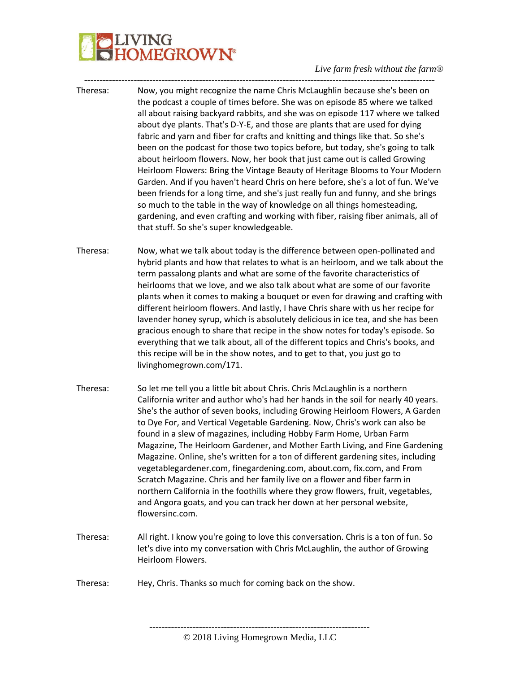## **PLIVING**<br>CHOMEGROWN®

#### *Live farm fresh without the farm®* -----------------------------------------------------------------------------------------------------------------

| Theresa: | Now, you might recognize the name Chris McLaughlin because she's been on<br>the podcast a couple of times before. She was on episode 85 where we talked<br>all about raising backyard rabbits, and she was on episode 117 where we talked<br>about dye plants. That's D-Y-E, and those are plants that are used for dying<br>fabric and yarn and fiber for crafts and knitting and things like that. So she's<br>been on the podcast for those two topics before, but today, she's going to talk<br>about heirloom flowers. Now, her book that just came out is called Growing<br>Heirloom Flowers: Bring the Vintage Beauty of Heritage Blooms to Your Modern<br>Garden. And if you haven't heard Chris on here before, she's a lot of fun. We've<br>been friends for a long time, and she's just really fun and funny, and she brings<br>so much to the table in the way of knowledge on all things homesteading,<br>gardening, and even crafting and working with fiber, raising fiber animals, all of<br>that stuff. So she's super knowledgeable. |
|----------|--------------------------------------------------------------------------------------------------------------------------------------------------------------------------------------------------------------------------------------------------------------------------------------------------------------------------------------------------------------------------------------------------------------------------------------------------------------------------------------------------------------------------------------------------------------------------------------------------------------------------------------------------------------------------------------------------------------------------------------------------------------------------------------------------------------------------------------------------------------------------------------------------------------------------------------------------------------------------------------------------------------------------------------------------------|
| Theresa: | Now, what we talk about today is the difference between open-pollinated and<br>hybrid plants and how that relates to what is an heirloom, and we talk about the<br>term passalong plants and what are some of the favorite characteristics of<br>heirlooms that we love, and we also talk about what are some of our favorite<br>plants when it comes to making a bouquet or even for drawing and crafting with<br>different heirloom flowers. And lastly, I have Chris share with us her recipe for<br>lavender honey syrup, which is absolutely delicious in ice tea, and she has been<br>gracious enough to share that recipe in the show notes for today's episode. So<br>everything that we talk about, all of the different topics and Chris's books, and<br>this recipe will be in the show notes, and to get to that, you just go to<br>livinghomegrown.com/171.                                                                                                                                                                               |
| Theresa: | So let me tell you a little bit about Chris. Chris McLaughlin is a northern<br>California writer and author who's had her hands in the soil for nearly 40 years.<br>She's the author of seven books, including Growing Heirloom Flowers, A Garden<br>to Dye For, and Vertical Vegetable Gardening. Now, Chris's work can also be<br>found in a slew of magazines, including Hobby Farm Home, Urban Farm<br>Magazine, The Heirloom Gardener, and Mother Earth Living, and Fine Gardening<br>Magazine. Online, she's written for a ton of different gardening sites, including<br>vegetablegardener.com, finegardening.com, about.com, fix.com, and From<br>Scratch Magazine. Chris and her family live on a flower and fiber farm in<br>northern California in the foothills where they grow flowers, fruit, vegetables,<br>and Angora goats, and you can track her down at her personal website,<br>flowersinc.com.                                                                                                                                    |
| Theresa: | All right. I know you're going to love this conversation. Chris is a ton of fun. So<br>let's dive into my conversation with Chris McLaughlin, the author of Growing<br>Heirloom Flowers.                                                                                                                                                                                                                                                                                                                                                                                                                                                                                                                                                                                                                                                                                                                                                                                                                                                               |
| Theresa: | Hey, Chris. Thanks so much for coming back on the show.                                                                                                                                                                                                                                                                                                                                                                                                                                                                                                                                                                                                                                                                                                                                                                                                                                                                                                                                                                                                |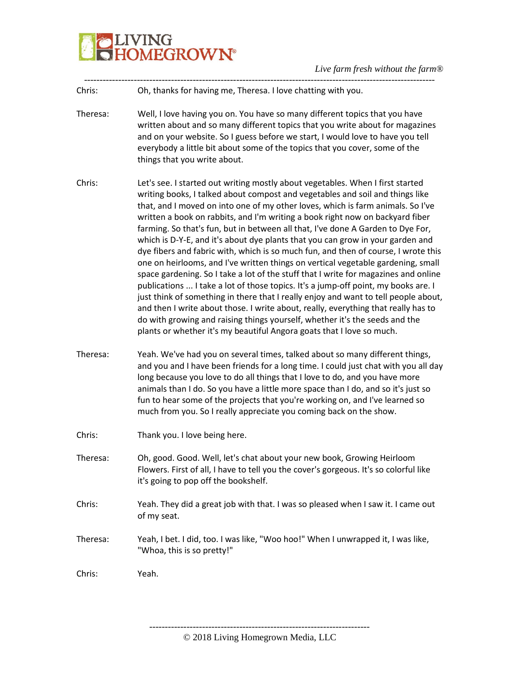

| Chris:   | Oh, thanks for having me, Theresa. I love chatting with you.                                                                                                                                                                                                                                                                                                                                                                                                                                                                                                                                                                                                                                                                                                                                                                                                                                                                                                                                                                                                                                                                                                                                         |
|----------|------------------------------------------------------------------------------------------------------------------------------------------------------------------------------------------------------------------------------------------------------------------------------------------------------------------------------------------------------------------------------------------------------------------------------------------------------------------------------------------------------------------------------------------------------------------------------------------------------------------------------------------------------------------------------------------------------------------------------------------------------------------------------------------------------------------------------------------------------------------------------------------------------------------------------------------------------------------------------------------------------------------------------------------------------------------------------------------------------------------------------------------------------------------------------------------------------|
| Theresa: | Well, I love having you on. You have so many different topics that you have<br>written about and so many different topics that you write about for magazines<br>and on your website. So I guess before we start, I would love to have you tell<br>everybody a little bit about some of the topics that you cover, some of the<br>things that you write about.                                                                                                                                                                                                                                                                                                                                                                                                                                                                                                                                                                                                                                                                                                                                                                                                                                        |
| Chris:   | Let's see. I started out writing mostly about vegetables. When I first started<br>writing books, I talked about compost and vegetables and soil and things like<br>that, and I moved on into one of my other loves, which is farm animals. So I've<br>written a book on rabbits, and I'm writing a book right now on backyard fiber<br>farming. So that's fun, but in between all that, I've done A Garden to Dye For,<br>which is D-Y-E, and it's about dye plants that you can grow in your garden and<br>dye fibers and fabric with, which is so much fun, and then of course, I wrote this<br>one on heirlooms, and I've written things on vertical vegetable gardening, small<br>space gardening. So I take a lot of the stuff that I write for magazines and online<br>publications  I take a lot of those topics. It's a jump-off point, my books are. I<br>just think of something in there that I really enjoy and want to tell people about,<br>and then I write about those. I write about, really, everything that really has to<br>do with growing and raising things yourself, whether it's the seeds and the<br>plants or whether it's my beautiful Angora goats that I love so much. |
| Theresa: | Yeah. We've had you on several times, talked about so many different things,<br>and you and I have been friends for a long time. I could just chat with you all day<br>long because you love to do all things that I love to do, and you have more<br>animals than I do. So you have a little more space than I do, and so it's just so<br>fun to hear some of the projects that you're working on, and I've learned so<br>much from you. So I really appreciate you coming back on the show.                                                                                                                                                                                                                                                                                                                                                                                                                                                                                                                                                                                                                                                                                                        |
| Chris:   | Thank you. I love being here.                                                                                                                                                                                                                                                                                                                                                                                                                                                                                                                                                                                                                                                                                                                                                                                                                                                                                                                                                                                                                                                                                                                                                                        |
| Theresa: | Oh, good. Good. Well, let's chat about your new book, Growing Heirloom<br>Flowers. First of all, I have to tell you the cover's gorgeous. It's so colorful like<br>it's going to pop off the bookshelf.                                                                                                                                                                                                                                                                                                                                                                                                                                                                                                                                                                                                                                                                                                                                                                                                                                                                                                                                                                                              |
| Chris:   | Yeah. They did a great job with that. I was so pleased when I saw it. I came out<br>of my seat.                                                                                                                                                                                                                                                                                                                                                                                                                                                                                                                                                                                                                                                                                                                                                                                                                                                                                                                                                                                                                                                                                                      |
| Theresa: | Yeah, I bet. I did, too. I was like, "Woo hoo!" When I unwrapped it, I was like,<br>"Whoa, this is so pretty!"                                                                                                                                                                                                                                                                                                                                                                                                                                                                                                                                                                                                                                                                                                                                                                                                                                                                                                                                                                                                                                                                                       |
| Chris:   | Yeah.                                                                                                                                                                                                                                                                                                                                                                                                                                                                                                                                                                                                                                                                                                                                                                                                                                                                                                                                                                                                                                                                                                                                                                                                |

----------------------------------------------------------------------- © 2018 Living Homegrown Media, LLC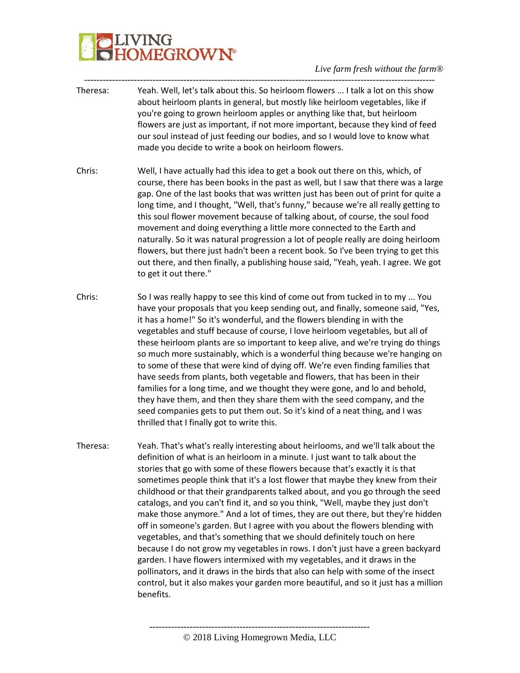

- ----------------------------------------------------------------------------------------------------------------- Theresa: Yeah. Well, let's talk about this. So heirloom flowers ... I talk a lot on this show about heirloom plants in general, but mostly like heirloom vegetables, like if you're going to grown heirloom apples or anything like that, but heirloom flowers are just as important, if not more important, because they kind of feed our soul instead of just feeding our bodies, and so I would love to know what made you decide to write a book on heirloom flowers.
- Chris: Well, I have actually had this idea to get a book out there on this, which, of course, there has been books in the past as well, but I saw that there was a large gap. One of the last books that was written just has been out of print for quite a long time, and I thought, "Well, that's funny," because we're all really getting to this soul flower movement because of talking about, of course, the soul food movement and doing everything a little more connected to the Earth and naturally. So it was natural progression a lot of people really are doing heirloom flowers, but there just hadn't been a recent book. So I've been trying to get this out there, and then finally, a publishing house said, "Yeah, yeah. I agree. We got to get it out there."
- Chris: So I was really happy to see this kind of come out from tucked in to my ... You have your proposals that you keep sending out, and finally, someone said, "Yes, it has a home!" So it's wonderful, and the flowers blending in with the vegetables and stuff because of course, I love heirloom vegetables, but all of these heirloom plants are so important to keep alive, and we're trying do things so much more sustainably, which is a wonderful thing because we're hanging on to some of these that were kind of dying off. We're even finding families that have seeds from plants, both vegetable and flowers, that has been in their families for a long time, and we thought they were gone, and lo and behold, they have them, and then they share them with the seed company, and the seed companies gets to put them out. So it's kind of a neat thing, and I was thrilled that I finally got to write this.
- Theresa: Yeah. That's what's really interesting about heirlooms, and we'll talk about the definition of what is an heirloom in a minute. I just want to talk about the stories that go with some of these flowers because that's exactly it is that sometimes people think that it's a lost flower that maybe they knew from their childhood or that their grandparents talked about, and you go through the seed catalogs, and you can't find it, and so you think, "Well, maybe they just don't make those anymore." And a lot of times, they are out there, but they're hidden off in someone's garden. But I agree with you about the flowers blending with vegetables, and that's something that we should definitely touch on here because I do not grow my vegetables in rows. I don't just have a green backyard garden. I have flowers intermixed with my vegetables, and it draws in the pollinators, and it draws in the birds that also can help with some of the insect control, but it also makes your garden more beautiful, and so it just has a million benefits.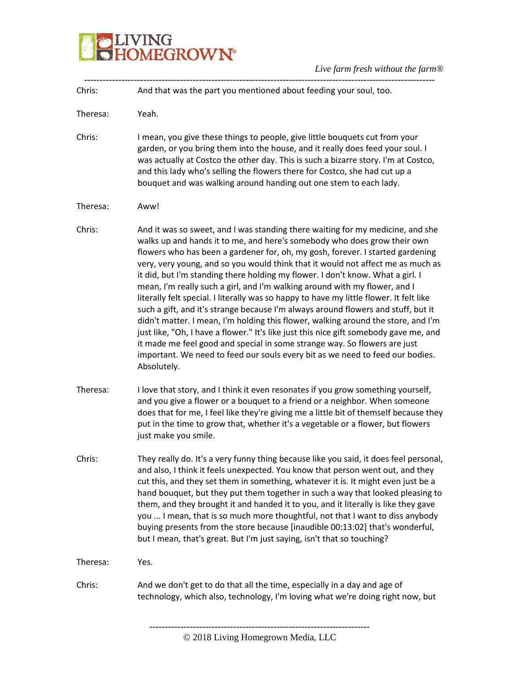### **BELIVING**<br>**BELIVING**<br> **BELIVING**

| Chris:   | And that was the part you mentioned about feeding your soul, too.                                                                                                                                                                                                                                                                                                                                                                                                                                                                                                                                                                                                                                                                                                                                                                                                                                                                                                                                                                          |
|----------|--------------------------------------------------------------------------------------------------------------------------------------------------------------------------------------------------------------------------------------------------------------------------------------------------------------------------------------------------------------------------------------------------------------------------------------------------------------------------------------------------------------------------------------------------------------------------------------------------------------------------------------------------------------------------------------------------------------------------------------------------------------------------------------------------------------------------------------------------------------------------------------------------------------------------------------------------------------------------------------------------------------------------------------------|
| Theresa: | Yeah.                                                                                                                                                                                                                                                                                                                                                                                                                                                                                                                                                                                                                                                                                                                                                                                                                                                                                                                                                                                                                                      |
| Chris:   | I mean, you give these things to people, give little bouquets cut from your<br>garden, or you bring them into the house, and it really does feed your soul. I<br>was actually at Costco the other day. This is such a bizarre story. I'm at Costco,<br>and this lady who's selling the flowers there for Costco, she had cut up a<br>bouquet and was walking around handing out one stem to each lady.                                                                                                                                                                                                                                                                                                                                                                                                                                                                                                                                                                                                                                     |
| Theresa: | Aww!                                                                                                                                                                                                                                                                                                                                                                                                                                                                                                                                                                                                                                                                                                                                                                                                                                                                                                                                                                                                                                       |
| Chris:   | And it was so sweet, and I was standing there waiting for my medicine, and she<br>walks up and hands it to me, and here's somebody who does grow their own<br>flowers who has been a gardener for, oh, my gosh, forever. I started gardening<br>very, very young, and so you would think that it would not affect me as much as<br>it did, but I'm standing there holding my flower. I don't know. What a girl. I<br>mean, I'm really such a girl, and I'm walking around with my flower, and I<br>literally felt special. I literally was so happy to have my little flower. It felt like<br>such a gift, and it's strange because I'm always around flowers and stuff, but it<br>didn't matter. I mean, I'm holding this flower, walking around the store, and I'm<br>just like, "Oh, I have a flower." It's like just this nice gift somebody gave me, and<br>it made me feel good and special in some strange way. So flowers are just<br>important. We need to feed our souls every bit as we need to feed our bodies.<br>Absolutely. |
| Theresa: | I love that story, and I think it even resonates if you grow something yourself,<br>and you give a flower or a bouquet to a friend or a neighbor. When someone<br>does that for me, I feel like they're giving me a little bit of themself because they<br>put in the time to grow that, whether it's a vegetable or a flower, but flowers<br>just make you smile.                                                                                                                                                                                                                                                                                                                                                                                                                                                                                                                                                                                                                                                                         |
| Chris:   | They really do. It's a very funny thing because like you said, it does feel personal,<br>and also, I think it feels unexpected. You know that person went out, and they<br>cut this, and they set them in something, whatever it is. It might even just be a<br>hand bouquet, but they put them together in such a way that looked pleasing to<br>them, and they brought it and handed it to you, and it literally is like they gave<br>you  I mean, that is so much more thoughtful, not that I want to diss anybody<br>buying presents from the store because [inaudible 00:13:02] that's wonderful,<br>but I mean, that's great. But I'm just saying, isn't that so touching?                                                                                                                                                                                                                                                                                                                                                           |
| Theresa: | Yes.                                                                                                                                                                                                                                                                                                                                                                                                                                                                                                                                                                                                                                                                                                                                                                                                                                                                                                                                                                                                                                       |
| Chris:   | And we don't get to do that all the time, especially in a day and age of<br>technology, which also, technology, I'm loving what we're doing right now, but                                                                                                                                                                                                                                                                                                                                                                                                                                                                                                                                                                                                                                                                                                                                                                                                                                                                                 |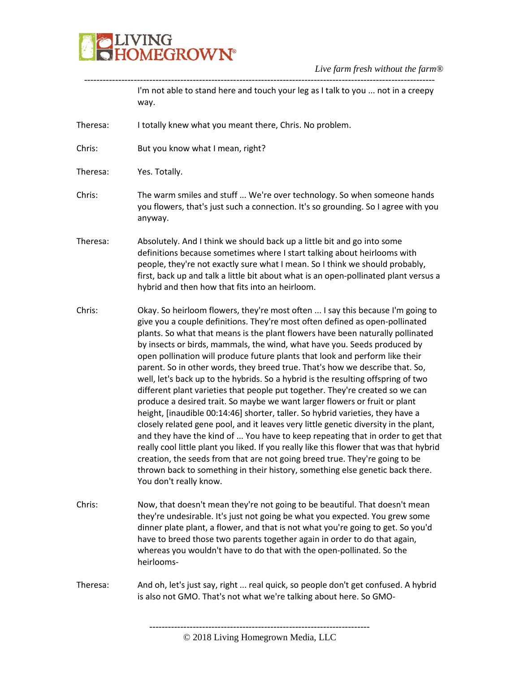### **BELIVING**<br>**BELIVING**<br> **BELIVING**

|          | I'm not able to stand here and touch your leg as I talk to you  not in a creepy<br>way.                                                                                                                                                                                                                                                                                                                                                                                                                                                                                                                                                                                                                                                                                                                                                                                                                                                                                                                                                                                                                                                                                                                                                                                                            |
|----------|----------------------------------------------------------------------------------------------------------------------------------------------------------------------------------------------------------------------------------------------------------------------------------------------------------------------------------------------------------------------------------------------------------------------------------------------------------------------------------------------------------------------------------------------------------------------------------------------------------------------------------------------------------------------------------------------------------------------------------------------------------------------------------------------------------------------------------------------------------------------------------------------------------------------------------------------------------------------------------------------------------------------------------------------------------------------------------------------------------------------------------------------------------------------------------------------------------------------------------------------------------------------------------------------------|
| Theresa: | I totally knew what you meant there, Chris. No problem.                                                                                                                                                                                                                                                                                                                                                                                                                                                                                                                                                                                                                                                                                                                                                                                                                                                                                                                                                                                                                                                                                                                                                                                                                                            |
| Chris:   | But you know what I mean, right?                                                                                                                                                                                                                                                                                                                                                                                                                                                                                                                                                                                                                                                                                                                                                                                                                                                                                                                                                                                                                                                                                                                                                                                                                                                                   |
| Theresa: | Yes. Totally.                                                                                                                                                                                                                                                                                                                                                                                                                                                                                                                                                                                                                                                                                                                                                                                                                                                                                                                                                                                                                                                                                                                                                                                                                                                                                      |
| Chris:   | The warm smiles and stuff  We're over technology. So when someone hands<br>you flowers, that's just such a connection. It's so grounding. So I agree with you<br>anyway.                                                                                                                                                                                                                                                                                                                                                                                                                                                                                                                                                                                                                                                                                                                                                                                                                                                                                                                                                                                                                                                                                                                           |
| Theresa: | Absolutely. And I think we should back up a little bit and go into some<br>definitions because sometimes where I start talking about heirlooms with<br>people, they're not exactly sure what I mean. So I think we should probably,<br>first, back up and talk a little bit about what is an open-pollinated plant versus a<br>hybrid and then how that fits into an heirloom.                                                                                                                                                                                                                                                                                                                                                                                                                                                                                                                                                                                                                                                                                                                                                                                                                                                                                                                     |
| Chris:   | Okay. So heirloom flowers, they're most often  I say this because I'm going to<br>give you a couple definitions. They're most often defined as open-pollinated<br>plants. So what that means is the plant flowers have been naturally pollinated<br>by insects or birds, mammals, the wind, what have you. Seeds produced by<br>open pollination will produce future plants that look and perform like their<br>parent. So in other words, they breed true. That's how we describe that. So,<br>well, let's back up to the hybrids. So a hybrid is the resulting offspring of two<br>different plant varieties that people put together. They're created so we can<br>produce a desired trait. So maybe we want larger flowers or fruit or plant<br>height, [inaudible 00:14:46] shorter, taller. So hybrid varieties, they have a<br>closely related gene pool, and it leaves very little genetic diversity in the plant,<br>and they have the kind of  You have to keep repeating that in order to get that<br>really cool little plant you liked. If you really like this flower that was that hybrid<br>creation, the seeds from that are not going breed true. They're going to be<br>thrown back to something in their history, something else genetic back there.<br>You don't really know. |
| Chris:   | Now, that doesn't mean they're not going to be beautiful. That doesn't mean<br>they're undesirable. It's just not going be what you expected. You grew some<br>dinner plate plant, a flower, and that is not what you're going to get. So you'd<br>have to breed those two parents together again in order to do that again,<br>whereas you wouldn't have to do that with the open-pollinated. So the<br>heirlooms-                                                                                                                                                                                                                                                                                                                                                                                                                                                                                                                                                                                                                                                                                                                                                                                                                                                                                |
| Theresa: | And oh, let's just say, right  real quick, so people don't get confused. A hybrid<br>is also not GMO. That's not what we're talking about here. So GMO-                                                                                                                                                                                                                                                                                                                                                                                                                                                                                                                                                                                                                                                                                                                                                                                                                                                                                                                                                                                                                                                                                                                                            |
|          |                                                                                                                                                                                                                                                                                                                                                                                                                                                                                                                                                                                                                                                                                                                                                                                                                                                                                                                                                                                                                                                                                                                                                                                                                                                                                                    |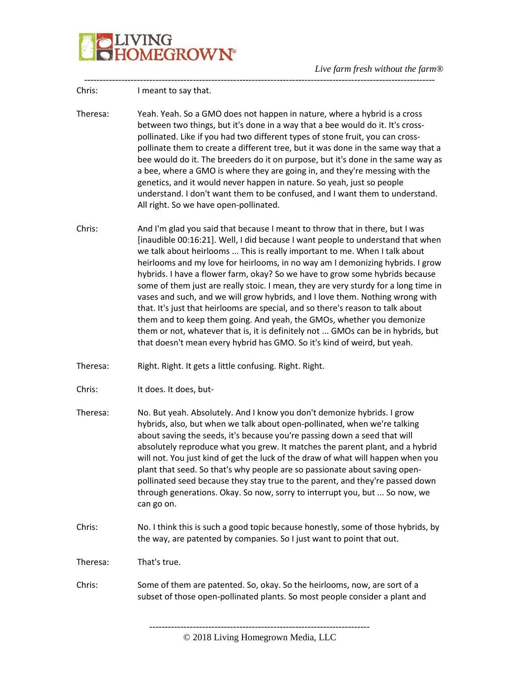

| Chris:   | I meant to say that.                                                                                                                                                                                                                                                                                                                                                                                                                                                                                                                                                                                                                                                                                                                                                                                                                                                                                                |
|----------|---------------------------------------------------------------------------------------------------------------------------------------------------------------------------------------------------------------------------------------------------------------------------------------------------------------------------------------------------------------------------------------------------------------------------------------------------------------------------------------------------------------------------------------------------------------------------------------------------------------------------------------------------------------------------------------------------------------------------------------------------------------------------------------------------------------------------------------------------------------------------------------------------------------------|
| Theresa: | Yeah. Yeah. So a GMO does not happen in nature, where a hybrid is a cross<br>between two things, but it's done in a way that a bee would do it. It's cross-<br>pollinated. Like if you had two different types of stone fruit, you can cross-<br>pollinate them to create a different tree, but it was done in the same way that a<br>bee would do it. The breeders do it on purpose, but it's done in the same way as<br>a bee, where a GMO is where they are going in, and they're messing with the<br>genetics, and it would never happen in nature. So yeah, just so people<br>understand. I don't want them to be confused, and I want them to understand.<br>All right. So we have open-pollinated.                                                                                                                                                                                                           |
| Chris:   | And I'm glad you said that because I meant to throw that in there, but I was<br>[inaudible 00:16:21]. Well, I did because I want people to understand that when<br>we talk about heirlooms  This is really important to me. When I talk about<br>heirlooms and my love for heirlooms, in no way am I demonizing hybrids. I grow<br>hybrids. I have a flower farm, okay? So we have to grow some hybrids because<br>some of them just are really stoic. I mean, they are very sturdy for a long time in<br>vases and such, and we will grow hybrids, and I love them. Nothing wrong with<br>that. It's just that heirlooms are special, and so there's reason to talk about<br>them and to keep them going. And yeah, the GMOs, whether you demonize<br>them or not, whatever that is, it is definitely not  GMOs can be in hybrids, but<br>that doesn't mean every hybrid has GMO. So it's kind of weird, but yeah. |
| Theresa: | Right. Right. It gets a little confusing. Right. Right.                                                                                                                                                                                                                                                                                                                                                                                                                                                                                                                                                                                                                                                                                                                                                                                                                                                             |
| Chris:   | It does. It does, but-                                                                                                                                                                                                                                                                                                                                                                                                                                                                                                                                                                                                                                                                                                                                                                                                                                                                                              |
| Theresa: | No. But yeah. Absolutely. And I know you don't demonize hybrids. I grow<br>hybrids, also, but when we talk about open-pollinated, when we're talking<br>about saving the seeds, it's because you're passing down a seed that will<br>absolutely reproduce what you grew. It matches the parent plant, and a hybrid<br>will not. You just kind of get the luck of the draw of what will happen when you<br>plant that seed. So that's why people are so passionate about saving open-<br>pollinated seed because they stay true to the parent, and they're passed down<br>through generations. Okay. So now, sorry to interrupt you, but  So now, we<br>can go on.                                                                                                                                                                                                                                                   |
| Chris:   | No. I think this is such a good topic because honestly, some of those hybrids, by<br>the way, are patented by companies. So I just want to point that out.                                                                                                                                                                                                                                                                                                                                                                                                                                                                                                                                                                                                                                                                                                                                                          |
| Theresa: | That's true.                                                                                                                                                                                                                                                                                                                                                                                                                                                                                                                                                                                                                                                                                                                                                                                                                                                                                                        |
| Chris:   | Some of them are patented. So, okay. So the heirlooms, now, are sort of a<br>subset of those open-pollinated plants. So most people consider a plant and                                                                                                                                                                                                                                                                                                                                                                                                                                                                                                                                                                                                                                                                                                                                                            |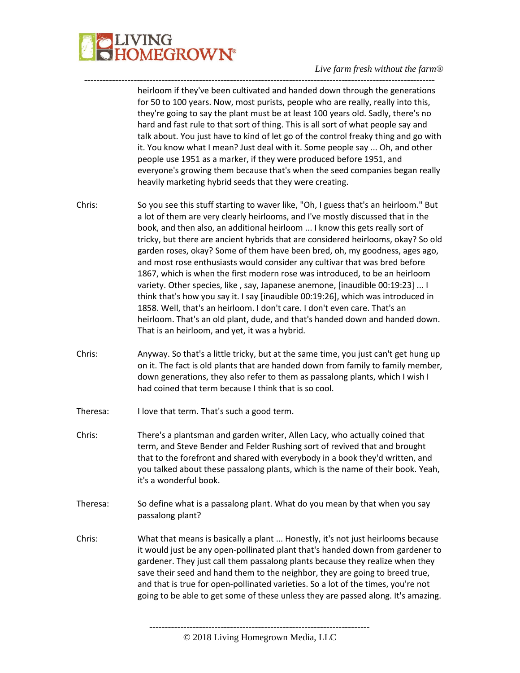

heirloom if they've been cultivated and handed down through the generations for 50 to 100 years. Now, most purists, people who are really, really into this, they're going to say the plant must be at least 100 years old. Sadly, there's no hard and fast rule to that sort of thing. This is all sort of what people say and talk about. You just have to kind of let go of the control freaky thing and go with it. You know what I mean? Just deal with it. Some people say ... Oh, and other people use 1951 as a marker, if they were produced before 1951, and everyone's growing them because that's when the seed companies began really heavily marketing hybrid seeds that they were creating.

Chris: So you see this stuff starting to waver like, "Oh, I guess that's an heirloom." But a lot of them are very clearly heirlooms, and I've mostly discussed that in the book, and then also, an additional heirloom ... I know this gets really sort of tricky, but there are ancient hybrids that are considered heirlooms, okay? So old garden roses, okay? Some of them have been bred, oh, my goodness, ages ago, and most rose enthusiasts would consider any cultivar that was bred before 1867, which is when the first modern rose was introduced, to be an heirloom variety. Other species, like , say, Japanese anemone, [inaudible 00:19:23] ... I think that's how you say it. I say [inaudible 00:19:26], which was introduced in 1858. Well, that's an heirloom. I don't care. I don't even care. That's an heirloom. That's an old plant, dude, and that's handed down and handed down. That is an heirloom, and yet, it was a hybrid.

-----------------------------------------------------------------------------------------------------------------

- Chris: Anyway. So that's a little tricky, but at the same time, you just can't get hung up on it. The fact is old plants that are handed down from family to family member, down generations, they also refer to them as passalong plants, which I wish I had coined that term because I think that is so cool.
- Theresa: I love that term. That's such a good term.
- Chris: There's a plantsman and garden writer, Allen Lacy, who actually coined that term, and Steve Bender and Felder Rushing sort of revived that and brought that to the forefront and shared with everybody in a book they'd written, and you talked about these passalong plants, which is the name of their book. Yeah, it's a wonderful book.
- Theresa: So define what is a passalong plant. What do you mean by that when you say passalong plant?
- Chris: What that means is basically a plant ... Honestly, it's not just heirlooms because it would just be any open-pollinated plant that's handed down from gardener to gardener. They just call them passalong plants because they realize when they save their seed and hand them to the neighbor, they are going to breed true, and that is true for open-pollinated varieties. So a lot of the times, you're not going to be able to get some of these unless they are passed along. It's amazing.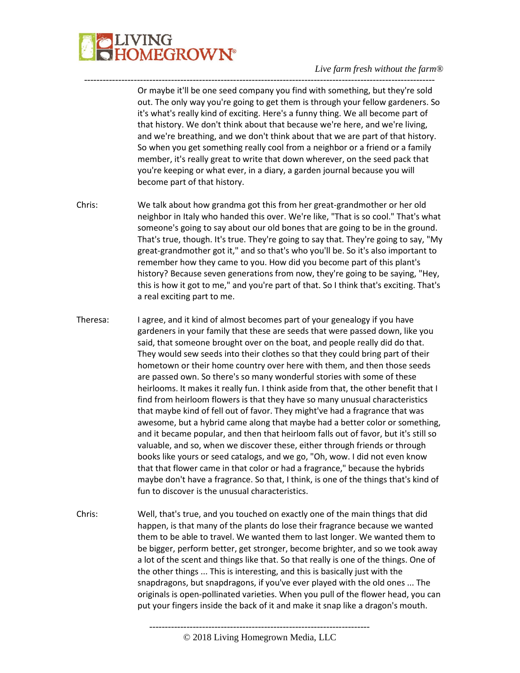## LIVING<br>HOMEGROW**N°**

#### *Live farm fresh without the farm®*

Or maybe it'll be one seed company you find with something, but they're sold out. The only way you're going to get them is through your fellow gardeners. So it's what's really kind of exciting. Here's a funny thing. We all become part of that history. We don't think about that because we're here, and we're living, and we're breathing, and we don't think about that we are part of that history. So when you get something really cool from a neighbor or a friend or a family member, it's really great to write that down wherever, on the seed pack that you're keeping or what ever, in a diary, a garden journal because you will become part of that history.

Chris: We talk about how grandma got this from her great-grandmother or her old neighbor in Italy who handed this over. We're like, "That is so cool." That's what someone's going to say about our old bones that are going to be in the ground. That's true, though. It's true. They're going to say that. They're going to say, "My great-grandmother got it," and so that's who you'll be. So it's also important to remember how they came to you. How did you become part of this plant's history? Because seven generations from now, they're going to be saying, "Hey, this is how it got to me," and you're part of that. So I think that's exciting. That's a real exciting part to me.

-----------------------------------------------------------------------------------------------------------------

- Theresa: I agree, and it kind of almost becomes part of your genealogy if you have gardeners in your family that these are seeds that were passed down, like you said, that someone brought over on the boat, and people really did do that. They would sew seeds into their clothes so that they could bring part of their hometown or their home country over here with them, and then those seeds are passed own. So there's so many wonderful stories with some of these heirlooms. It makes it really fun. I think aside from that, the other benefit that I find from heirloom flowers is that they have so many unusual characteristics that maybe kind of fell out of favor. They might've had a fragrance that was awesome, but a hybrid came along that maybe had a better color or something, and it became popular, and then that heirloom falls out of favor, but it's still so valuable, and so, when we discover these, either through friends or through books like yours or seed catalogs, and we go, "Oh, wow. I did not even know that that flower came in that color or had a fragrance," because the hybrids maybe don't have a fragrance. So that, I think, is one of the things that's kind of fun to discover is the unusual characteristics.
- Chris: Well, that's true, and you touched on exactly one of the main things that did happen, is that many of the plants do lose their fragrance because we wanted them to be able to travel. We wanted them to last longer. We wanted them to be bigger, perform better, get stronger, become brighter, and so we took away a lot of the scent and things like that. So that really is one of the things. One of the other things ... This is interesting, and this is basically just with the snapdragons, but snapdragons, if you've ever played with the old ones ... The originals is open-pollinated varieties. When you pull of the flower head, you can put your fingers inside the back of it and make it snap like a dragon's mouth.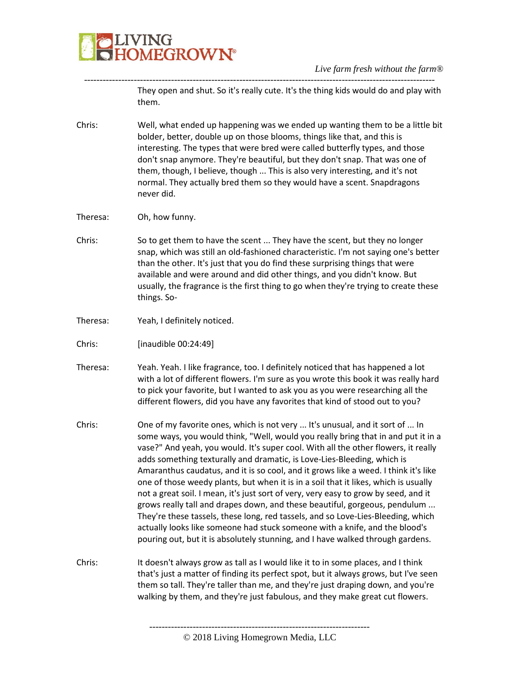

----------------------------------------------------------------------------------------------------------------- They open and shut. So it's really cute. It's the thing kids would do and play with them.

- Chris: Well, what ended up happening was we ended up wanting them to be a little bit bolder, better, double up on those blooms, things like that, and this is interesting. The types that were bred were called butterfly types, and those don't snap anymore. They're beautiful, but they don't snap. That was one of them, though, I believe, though ... This is also very interesting, and it's not normal. They actually bred them so they would have a scent. Snapdragons never did.
- Theresa: Oh, how funny.
- Chris: So to get them to have the scent ... They have the scent, but they no longer snap, which was still an old-fashioned characteristic. I'm not saying one's better than the other. It's just that you do find these surprising things that were available and were around and did other things, and you didn't know. But usually, the fragrance is the first thing to go when they're trying to create these things. So-
- Theresa: Yeah, I definitely noticed.
- Chris: [inaudible 00:24:49]
- Theresa: Yeah. Yeah. I like fragrance, too. I definitely noticed that has happened a lot with a lot of different flowers. I'm sure as you wrote this book it was really hard to pick your favorite, but I wanted to ask you as you were researching all the different flowers, did you have any favorites that kind of stood out to you?
- Chris: One of my favorite ones, which is not very ... It's unusual, and it sort of ... In some ways, you would think, "Well, would you really bring that in and put it in a vase?" And yeah, you would. It's super cool. With all the other flowers, it really adds something texturally and dramatic, is Love-Lies-Bleeding, which is Amaranthus caudatus, and it is so cool, and it grows like a weed. I think it's like one of those weedy plants, but when it is in a soil that it likes, which is usually not a great soil. I mean, it's just sort of very, very easy to grow by seed, and it grows really tall and drapes down, and these beautiful, gorgeous, pendulum ... They're these tassels, these long, red tassels, and so Love-Lies-Bleeding, which actually looks like someone had stuck someone with a knife, and the blood's pouring out, but it is absolutely stunning, and I have walked through gardens.
- Chris: It doesn't always grow as tall as I would like it to in some places, and I think that's just a matter of finding its perfect spot, but it always grows, but I've seen them so tall. They're taller than me, and they're just draping down, and you're walking by them, and they're just fabulous, and they make great cut flowers.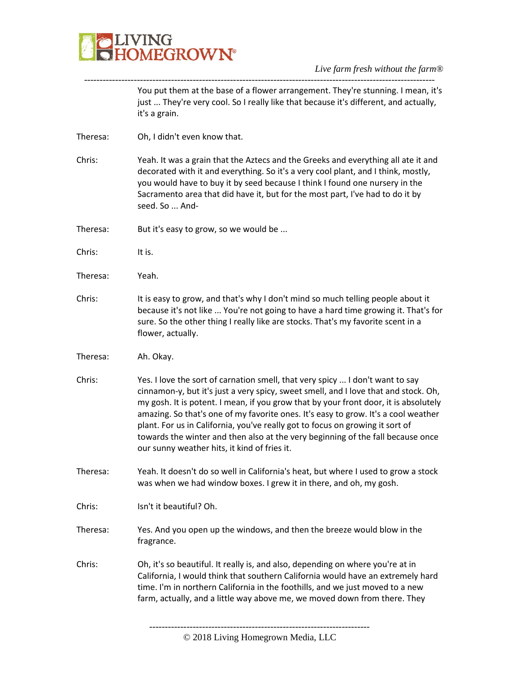

----------------------------------------------------------------------------------------------------------------- You put them at the base of a flower arrangement. They're stunning. I mean, it's just ... They're very cool. So I really like that because it's different, and actually, it's a grain.

- Theresa: Oh, I didn't even know that.
- Chris: Yeah. It was a grain that the Aztecs and the Greeks and everything all ate it and decorated with it and everything. So it's a very cool plant, and I think, mostly, you would have to buy it by seed because I think I found one nursery in the Sacramento area that did have it, but for the most part, I've had to do it by seed. So ... And-
- Theresa: But it's easy to grow, so we would be ...
- Chris: It is.
- Theresa: Yeah.
- Chris: It is easy to grow, and that's why I don't mind so much telling people about it because it's not like ... You're not going to have a hard time growing it. That's for sure. So the other thing I really like are stocks. That's my favorite scent in a flower, actually.
- Theresa: Ah. Okay.
- Chris: Yes. I love the sort of carnation smell, that very spicy ... I don't want to say cinnamon-y, but it's just a very spicy, sweet smell, and I love that and stock. Oh, my gosh. It is potent. I mean, if you grow that by your front door, it is absolutely amazing. So that's one of my favorite ones. It's easy to grow. It's a cool weather plant. For us in California, you've really got to focus on growing it sort of towards the winter and then also at the very beginning of the fall because once our sunny weather hits, it kind of fries it.
- Theresa: Yeah. It doesn't do so well in California's heat, but where I used to grow a stock was when we had window boxes. I grew it in there, and oh, my gosh.
- Chris: Isn't it beautiful? Oh.
- Theresa: Yes. And you open up the windows, and then the breeze would blow in the fragrance.
- Chris: Oh, it's so beautiful. It really is, and also, depending on where you're at in California, I would think that southern California would have an extremely hard time. I'm in northern California in the foothills, and we just moved to a new farm, actually, and a little way above me, we moved down from there. They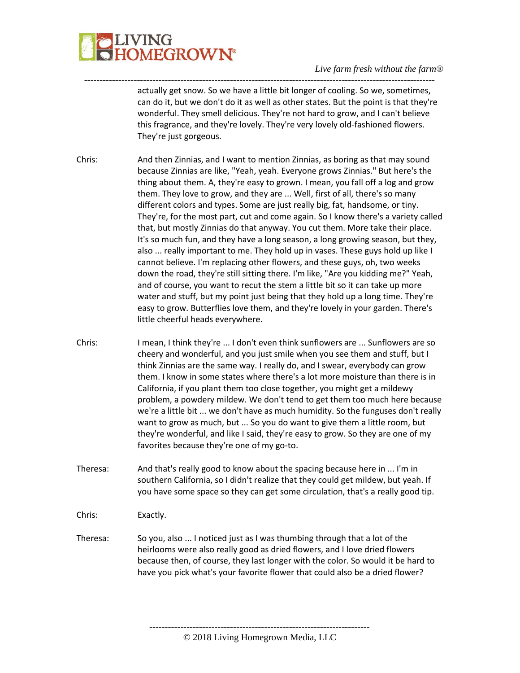# **LIVING<br>HOMEGROWN®**

#### *Live farm fresh without the farm®*

actually get snow. So we have a little bit longer of cooling. So we, sometimes, can do it, but we don't do it as well as other states. But the point is that they're wonderful. They smell delicious. They're not hard to grow, and I can't believe this fragrance, and they're lovely. They're very lovely old-fashioned flowers. They're just gorgeous.

Chris: And then Zinnias, and I want to mention Zinnias, as boring as that may sound because Zinnias are like, "Yeah, yeah. Everyone grows Zinnias." But here's the thing about them. A, they're easy to grown. I mean, you fall off a log and grow them. They love to grow, and they are ... Well, first of all, there's so many different colors and types. Some are just really big, fat, handsome, or tiny. They're, for the most part, cut and come again. So I know there's a variety called that, but mostly Zinnias do that anyway. You cut them. More take their place. It's so much fun, and they have a long season, a long growing season, but they, also ... really important to me. They hold up in vases. These guys hold up like I cannot believe. I'm replacing other flowers, and these guys, oh, two weeks down the road, they're still sitting there. I'm like, "Are you kidding me?" Yeah, and of course, you want to recut the stem a little bit so it can take up more water and stuff, but my point just being that they hold up a long time. They're easy to grow. Butterflies love them, and they're lovely in your garden. There's little cheerful heads everywhere.

-----------------------------------------------------------------------------------------------------------------

- Chris: I mean, I think they're ... I don't even think sunflowers are ... Sunflowers are so cheery and wonderful, and you just smile when you see them and stuff, but I think Zinnias are the same way. I really do, and I swear, everybody can grow them. I know in some states where there's a lot more moisture than there is in California, if you plant them too close together, you might get a mildewy problem, a powdery mildew. We don't tend to get them too much here because we're a little bit ... we don't have as much humidity. So the funguses don't really want to grow as much, but ... So you do want to give them a little room, but they're wonderful, and like I said, they're easy to grow. So they are one of my favorites because they're one of my go-to.
- Theresa: And that's really good to know about the spacing because here in ... I'm in southern California, so I didn't realize that they could get mildew, but yeah. If you have some space so they can get some circulation, that's a really good tip.

Chris: Exactly.

Theresa: So you, also ... I noticed just as I was thumbing through that a lot of the heirlooms were also really good as dried flowers, and I love dried flowers because then, of course, they last longer with the color. So would it be hard to have you pick what's your favorite flower that could also be a dried flower?

> ----------------------------------------------------------------------- © 2018 Living Homegrown Media, LLC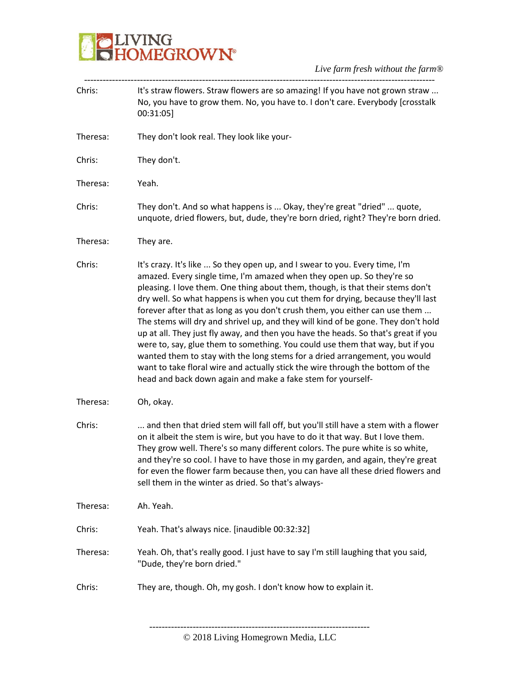

*Live farm fresh without the farm®* -----------------------------------------------------------------------------------------------------------------

| Chris:   | It's straw flowers. Straw flowers are so amazing! If you have not grown straw<br>No, you have to grow them. No, you have to. I don't care. Everybody [crosstalk<br>00:31:05                                                                                                                                                                                                                                                                                                                                                                                                                                                                                                                                                                                                                                                                                                                          |
|----------|------------------------------------------------------------------------------------------------------------------------------------------------------------------------------------------------------------------------------------------------------------------------------------------------------------------------------------------------------------------------------------------------------------------------------------------------------------------------------------------------------------------------------------------------------------------------------------------------------------------------------------------------------------------------------------------------------------------------------------------------------------------------------------------------------------------------------------------------------------------------------------------------------|
| Theresa: | They don't look real. They look like your-                                                                                                                                                                                                                                                                                                                                                                                                                                                                                                                                                                                                                                                                                                                                                                                                                                                           |
| Chris:   | They don't.                                                                                                                                                                                                                                                                                                                                                                                                                                                                                                                                                                                                                                                                                                                                                                                                                                                                                          |
| Theresa: | Yeah.                                                                                                                                                                                                                                                                                                                                                                                                                                                                                                                                                                                                                                                                                                                                                                                                                                                                                                |
| Chris:   | They don't. And so what happens is  Okay, they're great "dried"  quote,<br>unquote, dried flowers, but, dude, they're born dried, right? They're born dried.                                                                                                                                                                                                                                                                                                                                                                                                                                                                                                                                                                                                                                                                                                                                         |
| Theresa: | They are.                                                                                                                                                                                                                                                                                                                                                                                                                                                                                                                                                                                                                                                                                                                                                                                                                                                                                            |
| Chris:   | It's crazy. It's like  So they open up, and I swear to you. Every time, I'm<br>amazed. Every single time, I'm amazed when they open up. So they're so<br>pleasing. I love them. One thing about them, though, is that their stems don't<br>dry well. So what happens is when you cut them for drying, because they'll last<br>forever after that as long as you don't crush them, you either can use them<br>The stems will dry and shrivel up, and they will kind of be gone. They don't hold<br>up at all. They just fly away, and then you have the heads. So that's great if you<br>were to, say, glue them to something. You could use them that way, but if you<br>wanted them to stay with the long stems for a dried arrangement, you would<br>want to take floral wire and actually stick the wire through the bottom of the<br>head and back down again and make a fake stem for yourself- |
| Theresa: | Oh, okay.                                                                                                                                                                                                                                                                                                                                                                                                                                                                                                                                                                                                                                                                                                                                                                                                                                                                                            |
| Chris:   | and then that dried stem will fall off, but you'll still have a stem with a flower<br>on it albeit the stem is wire, but you have to do it that way. But I love them.<br>They grow well. There's so many different colors. The pure white is so white,<br>and they're so cool. I have to have those in my garden, and again, they're great<br>for even the flower farm because then, you can have all these dried flowers and<br>sell them in the winter as dried. So that's always-                                                                                                                                                                                                                                                                                                                                                                                                                 |
| Theresa: | Ah. Yeah.                                                                                                                                                                                                                                                                                                                                                                                                                                                                                                                                                                                                                                                                                                                                                                                                                                                                                            |
| Chris:   | Yeah. That's always nice. [inaudible 00:32:32]                                                                                                                                                                                                                                                                                                                                                                                                                                                                                                                                                                                                                                                                                                                                                                                                                                                       |
| Theresa: | Yeah. Oh, that's really good. I just have to say I'm still laughing that you said,<br>"Dude, they're born dried."                                                                                                                                                                                                                                                                                                                                                                                                                                                                                                                                                                                                                                                                                                                                                                                    |
| Chris:   | They are, though. Oh, my gosh. I don't know how to explain it.                                                                                                                                                                                                                                                                                                                                                                                                                                                                                                                                                                                                                                                                                                                                                                                                                                       |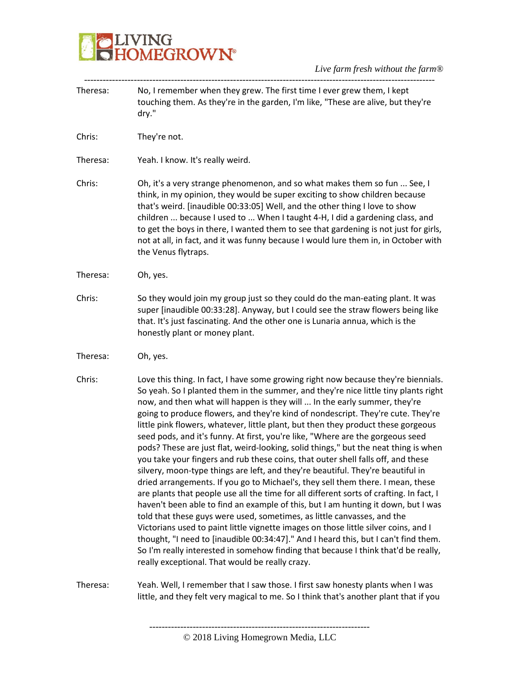### **BELIVING**<br>**BELIVING**<br> **BELIVING**

| Theresa: | No, I remember when they grew. The first time I ever grew them, I kept<br>touching them. As they're in the garden, I'm like, "These are alive, but they're<br>dry."                                                                                                                                                                                                                                                                                                                                                                                                                                                                                                                                                                                                                                                                                                                                                                                                                                                                                                                                                                                                                                                                                                                                                                                                                                                                                  |
|----------|------------------------------------------------------------------------------------------------------------------------------------------------------------------------------------------------------------------------------------------------------------------------------------------------------------------------------------------------------------------------------------------------------------------------------------------------------------------------------------------------------------------------------------------------------------------------------------------------------------------------------------------------------------------------------------------------------------------------------------------------------------------------------------------------------------------------------------------------------------------------------------------------------------------------------------------------------------------------------------------------------------------------------------------------------------------------------------------------------------------------------------------------------------------------------------------------------------------------------------------------------------------------------------------------------------------------------------------------------------------------------------------------------------------------------------------------------|
| Chris:   | They're not.                                                                                                                                                                                                                                                                                                                                                                                                                                                                                                                                                                                                                                                                                                                                                                                                                                                                                                                                                                                                                                                                                                                                                                                                                                                                                                                                                                                                                                         |
| Theresa: | Yeah. I know. It's really weird.                                                                                                                                                                                                                                                                                                                                                                                                                                                                                                                                                                                                                                                                                                                                                                                                                                                                                                                                                                                                                                                                                                                                                                                                                                                                                                                                                                                                                     |
| Chris:   | Oh, it's a very strange phenomenon, and so what makes them so fun  See, I<br>think, in my opinion, they would be super exciting to show children because<br>that's weird. [inaudible 00:33:05] Well, and the other thing I love to show<br>children  because I used to  When I taught 4-H, I did a gardening class, and<br>to get the boys in there, I wanted them to see that gardening is not just for girls,<br>not at all, in fact, and it was funny because I would lure them in, in October with<br>the Venus flytraps.                                                                                                                                                                                                                                                                                                                                                                                                                                                                                                                                                                                                                                                                                                                                                                                                                                                                                                                        |
| Theresa: | Oh, yes.                                                                                                                                                                                                                                                                                                                                                                                                                                                                                                                                                                                                                                                                                                                                                                                                                                                                                                                                                                                                                                                                                                                                                                                                                                                                                                                                                                                                                                             |
| Chris:   | So they would join my group just so they could do the man-eating plant. It was<br>super [inaudible 00:33:28]. Anyway, but I could see the straw flowers being like<br>that. It's just fascinating. And the other one is Lunaria annua, which is the<br>honestly plant or money plant.                                                                                                                                                                                                                                                                                                                                                                                                                                                                                                                                                                                                                                                                                                                                                                                                                                                                                                                                                                                                                                                                                                                                                                |
| Theresa: | Oh, yes.                                                                                                                                                                                                                                                                                                                                                                                                                                                                                                                                                                                                                                                                                                                                                                                                                                                                                                                                                                                                                                                                                                                                                                                                                                                                                                                                                                                                                                             |
| Chris:   | Love this thing. In fact, I have some growing right now because they're biennials.<br>So yeah. So I planted them in the summer, and they're nice little tiny plants right<br>now, and then what will happen is they will  In the early summer, they're<br>going to produce flowers, and they're kind of nondescript. They're cute. They're<br>little pink flowers, whatever, little plant, but then they product these gorgeous<br>seed pods, and it's funny. At first, you're like, "Where are the gorgeous seed<br>pods? These are just flat, weird-looking, solid things," but the neat thing is when<br>you take your fingers and rub these coins, that outer shell falls off, and these<br>silvery, moon-type things are left, and they're beautiful. They're beautiful in<br>dried arrangements. If you go to Michael's, they sell them there. I mean, these<br>are plants that people use all the time for all different sorts of crafting. In fact, I<br>haven't been able to find an example of this, but I am hunting it down, but I was<br>told that these guys were used, sometimes, as little canvasses, and the<br>Victorians used to paint little vignette images on those little silver coins, and I<br>thought, "I need to [inaudible 00:34:47]." And I heard this, but I can't find them.<br>So I'm really interested in somehow finding that because I think that'd be really,<br>really exceptional. That would be really crazy. |
| Theresa: | Yeah. Well, I remember that I saw those. I first saw honesty plants when I was<br>little, and they felt very magical to me. So I think that's another plant that if you                                                                                                                                                                                                                                                                                                                                                                                                                                                                                                                                                                                                                                                                                                                                                                                                                                                                                                                                                                                                                                                                                                                                                                                                                                                                              |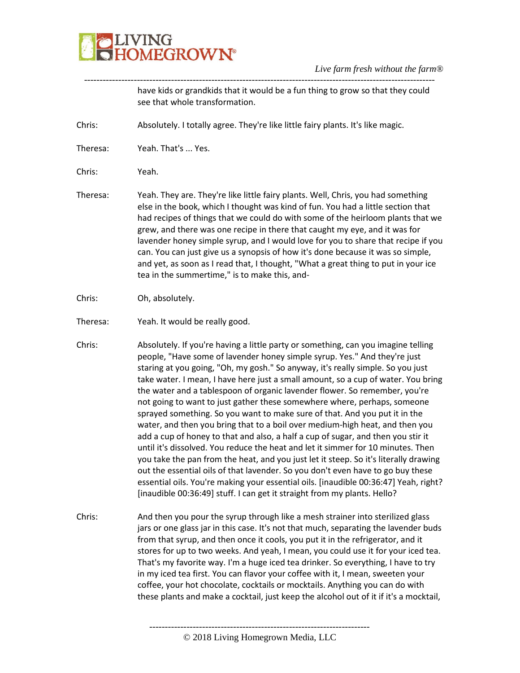### **JVING<br>HOMEGROWN®**

*Live farm fresh without the farm®*

----------------------------------------------------------------------------------------------------------------- ---------------------------------------------------------------------- have kids or grandkids that it would be a fun thing to grow so that they could see that whole transformation. Chris: Absolutely. I totally agree. They're like little fairy plants. It's like magic. Theresa: Yeah. That's ... Yes. Chris: Yeah. Theresa: Yeah. They are. They're like little fairy plants. Well, Chris, you had something else in the book, which I thought was kind of fun. You had a little section that had recipes of things that we could do with some of the heirloom plants that we grew, and there was one recipe in there that caught my eye, and it was for lavender honey simple syrup, and I would love for you to share that recipe if you can. You can just give us a synopsis of how it's done because it was so simple, and yet, as soon as I read that, I thought, "What a great thing to put in your ice tea in the summertime," is to make this, and-Chris: Oh, absolutely. Theresa: Yeah. It would be really good. Chris: Absolutely. If you're having a little party or something, can you imagine telling people, "Have some of lavender honey simple syrup. Yes." And they're just staring at you going, "Oh, my gosh." So anyway, it's really simple. So you just take water. I mean, I have here just a small amount, so a cup of water. You bring the water and a tablespoon of organic lavender flower. So remember, you're not going to want to just gather these somewhere where, perhaps, someone sprayed something. So you want to make sure of that. And you put it in the water, and then you bring that to a boil over medium-high heat, and then you add a cup of honey to that and also, a half a cup of sugar, and then you stir it until it's dissolved. You reduce the heat and let it simmer for 10 minutes. Then you take the pan from the heat, and you just let it steep. So it's literally drawing out the essential oils of that lavender. So you don't even have to go buy these essential oils. You're making your essential oils. [inaudible 00:36:47] Yeah, right? [inaudible 00:36:49] stuff. I can get it straight from my plants. Hello? Chris: And then you pour the syrup through like a mesh strainer into sterilized glass jars or one glass jar in this case. It's not that much, separating the lavender buds from that syrup, and then once it cools, you put it in the refrigerator, and it stores for up to two weeks. And yeah, I mean, you could use it for your iced tea. That's my favorite way. I'm a huge iced tea drinker. So everything, I have to try in my iced tea first. You can flavor your coffee with it, I mean, sweeten your coffee, your hot chocolate, cocktails or mocktails. Anything you can do with these plants and make a cocktail, just keep the alcohol out of it if it's a mocktail,